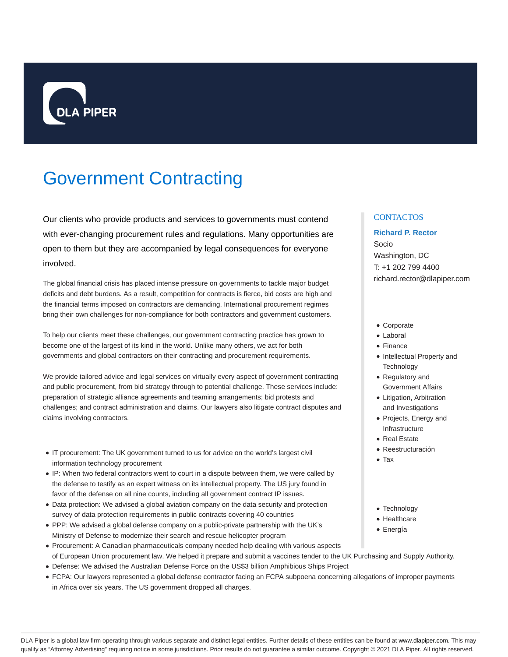

# Government Contracting

Our clients who provide products and services to governments must contend with ever-changing procurement rules and regulations. Many opportunities are open to them but they are accompanied by legal consequences for everyone involved.

The global financial crisis has placed intense pressure on governments to tackle major budget deficits and debt burdens. As a result, competition for contracts is fierce, bid costs are high and the financial terms imposed on contractors are demanding. International procurement regimes bring their own challenges for non-compliance for both contractors and government customers.

To help our clients meet these challenges, our government contracting practice has grown to become one of the largest of its kind in the world. Unlike many others, we act for both governments and global contractors on their contracting and procurement requirements.

We provide tailored advice and legal services on virtually every aspect of government contracting and public procurement, from bid strategy through to potential challenge. These services include: preparation of strategic alliance agreements and teaming arrangements; bid protests and challenges; and contract administration and claims. Our lawyers also litigate contract disputes and claims involving contractors.

- IT procurement: The UK government turned to us for advice on the world's largest civil information technology procurement
- IP: When two federal contractors went to court in a dispute between them, we were called by the defense to testify as an expert witness on its intellectual property. The US jury found in favor of the defense on all nine counts, including all government contract IP issues.
- Data protection: We advised a global aviation company on the data security and protection survey of data protection requirements in public contracts covering 40 countries
- PPP: We advised a global defense company on a public-private partnership with the UK's Ministry of Defense to modernize their search and rescue helicopter program
- Procurement: A Canadian pharmaceuticals company needed help dealing with various aspects of European Union procurement law. We helped it prepare and submit a vaccines tender to the UK Purchasing and Supply Authority.
- Defense: We advised the Australian Defense Force on the US\$3 billion Amphibious Ships Project
- FCPA: Our lawyers represented a global defense contractor facing an FCPA subpoena concerning allegations of improper payments in Africa over six years. The US government dropped all charges.

## **CONTACTOS**

# **Richard P. Rector** Socio Washington, DC T: +1 202 799 4400 richard.rector@dlapiper.com

- Corporate
- Laboral
- Finance
- Intellectual Property and **Technology**
- Regulatory and Government Affairs
- Litigation, Arbitration and Investigations
- Projects, Energy and Infrastructure
- Real Estate
- Reestructuración
- Tax
- Technology
- Healthcare
- Energía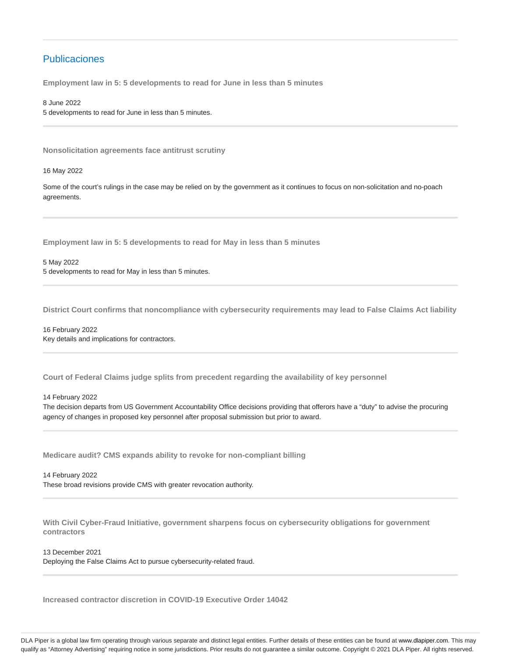# Publicaciones

**Employment law in 5: 5 developments to read for June in less than 5 minutes**

8 June 2022 5 developments to read for June in less than 5 minutes.

**Nonsolicitation agreements face antitrust scrutiny**

16 May 2022

Some of the court's rulings in the case may be relied on by the government as it continues to focus on non-solicitation and no-poach agreements.

**Employment law in 5: 5 developments to read for May in less than 5 minutes**

5 May 2022 5 developments to read for May in less than 5 minutes.

**District Court confirms that noncompliance with cybersecurity requirements may lead to False Claims Act liability**

16 February 2022 Key details and implications for contractors.

**Court of Federal Claims judge splits from precedent regarding the availability of key personnel**

14 February 2022

The decision departs from US Government Accountability Office decisions providing that offerors have a "duty" to advise the procuring agency of changes in proposed key personnel after proposal submission but prior to award.

**Medicare audit? CMS expands ability to revoke for non-compliant billing**

14 February 2022 These broad revisions provide CMS with greater revocation authority.

**With Civil Cyber-Fraud Initiative, government sharpens focus on cybersecurity obligations for government contractors**

13 December 2021

Deploying the False Claims Act to pursue cybersecurity-related fraud.

**Increased contractor discretion in COVID-19 Executive Order 14042**

DLA Piper is a global law firm operating through various separate and distinct legal entities. Further details of these entities can be found at www.dlapiper.com. This may qualify as "Attorney Advertising" requiring notice in some jurisdictions. Prior results do not guarantee a similar outcome. Copyright @ 2021 DLA Piper. All rights reserved.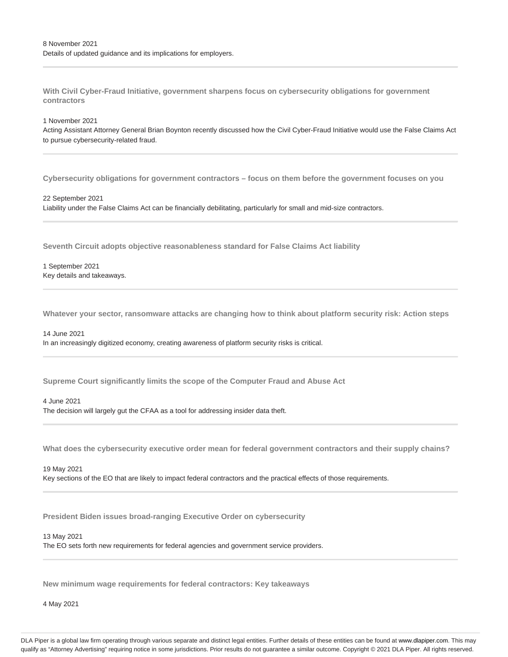**With Civil Cyber-Fraud Initiative, government sharpens focus on cybersecurity obligations for government contractors**

## 1 November 2021

Acting Assistant Attorney General Brian Boynton recently discussed how the Civil Cyber-Fraud Initiative would use the False Claims Act to pursue cybersecurity-related fraud.

**Cybersecurity obligations for government contractors – focus on them before the government focuses on you**

#### 22 September 2021

Liability under the False Claims Act can be financially debilitating, particularly for small and mid-size contractors.

**Seventh Circuit adopts objective reasonableness standard for False Claims Act liability**

1 September 2021 Key details and takeaways.

**Whatever your sector, ransomware attacks are changing how to think about platform security risk: Action steps**

## 14 June 2021

In an increasingly digitized economy, creating awareness of platform security risks is critical.

**Supreme Court significantly limits the scope of the Computer Fraud and Abuse Act**

## 4 June 2021

The decision will largely gut the CFAA as a tool for addressing insider data theft.

**What does the cybersecurity executive order mean for federal government contractors and their supply chains?**

#### 19 May 2021

Key sections of the EO that are likely to impact federal contractors and the practical effects of those requirements.

**President Biden issues broad-ranging Executive Order on cybersecurity**

## 13 May 2021

The EO sets forth new requirements for federal agencies and government service providers.

**New minimum wage requirements for federal contractors: Key takeaways**

4 May 2021

DLA Piper is a global law firm operating through various separate and distinct legal entities. Further details of these entities can be found at www.dlapiper.com. This may qualify as "Attorney Advertising" requiring notice in some jurisdictions. Prior results do not guarantee a similar outcome. Copyright @ 2021 DLA Piper. All rights reserved.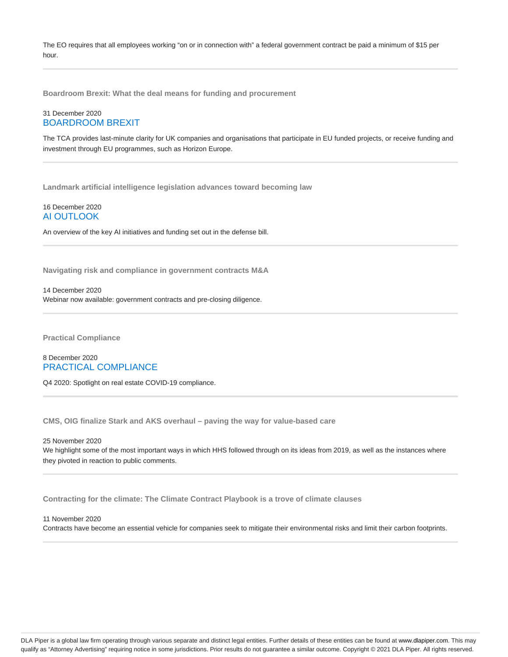The EO requires that all employees working "on or in connection with" a federal government contract be paid a minimum of \$15 per hour.

**Boardroom Brexit: What the deal means for funding and procurement**

## 31 December 2020 BOARDROOM BREXIT

The TCA provides last-minute clarity for UK companies and organisations that participate in EU funded projects, or receive funding and investment through EU programmes, such as Horizon Europe.

**Landmark artificial intelligence legislation advances toward becoming law**

16 December 2020 AI OUTLOOK

An overview of the key AI initiatives and funding set out in the defense bill.

**Navigating risk and compliance in government contracts M&A**

14 December 2020

Webinar now available: government contracts and pre-closing diligence.

**Practical Compliance**

8 December 2020 PRACTICAL COMPLIANCE

Q4 2020: Spotlight on real estate COVID-19 compliance.

**CMS, OIG finalize Stark and AKS overhaul – paving the way for value-based care**

25 November 2020

We highlight some of the most important ways in which HHS followed through on its ideas from 2019, as well as the instances where they pivoted in reaction to public comments.

**Contracting for the climate: The Climate Contract Playbook is a trove of climate clauses**

### 11 November 2020

Contracts have become an essential vehicle for companies seek to mitigate their environmental risks and limit their carbon footprints.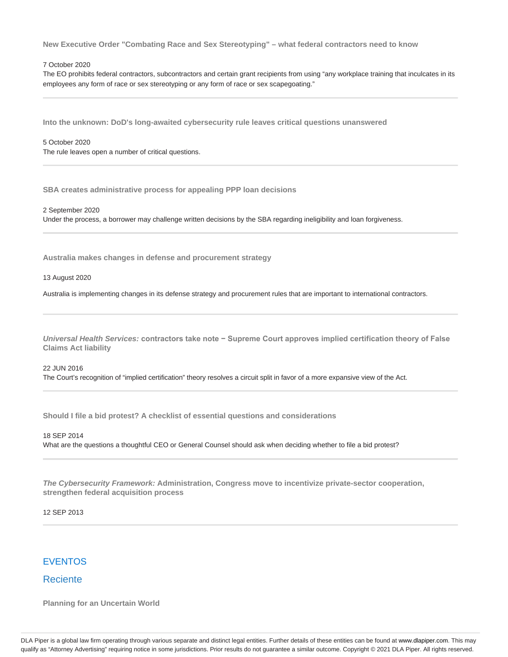**New Executive Order "Combating Race and Sex Stereotyping" – what federal contractors need to know**

## 7 October 2020

The EO prohibits federal contractors, subcontractors and certain grant recipients from using "any workplace training that inculcates in its employees any form of race or sex stereotyping or any form of race or sex scapegoating."

**Into the unknown: DoD's long-awaited cybersecurity rule leaves critical questions unanswered**

#### 5 October 2020

The rule leaves open a number of critical questions.

**SBA creates administrative process for appealing PPP loan decisions**

2 September 2020 Under the process, a borrower may challenge written decisions by the SBA regarding ineligibility and loan forgiveness.

**Australia makes changes in defense and procurement strategy**

13 August 2020

Australia is implementing changes in its defense strategy and procurement rules that are important to international contractors.

**Universal Health Services: contractors take note − Supreme Court approves implied certification theory of False Claims Act liability**

## 22 JUN 2016 The Court's recognition of "implied certification" theory resolves a circuit split in favor of a more expansive view of the Act.

**Should I file a bid protest? A checklist of essential questions and considerations**

## 18 SEP 2014 What are the questions a thoughtful CEO or General Counsel should ask when deciding whether to file a bid protest?

**The Cybersecurity Framework: Administration, Congress move to incentivize private-sector cooperation, strengthen federal acquisition process**

12 SEP 2013

# EVENTOS

# **Reciente**

**Planning for an Uncertain World**

DLA Piper is a global law firm operating through various separate and distinct legal entities. Further details of these entities can be found at www.dlapiper.com. This may qualify as "Attorney Advertising" requiring notice in some jurisdictions. Prior results do not guarantee a similar outcome. Copyright @ 2021 DLA Piper. All rights reserved.